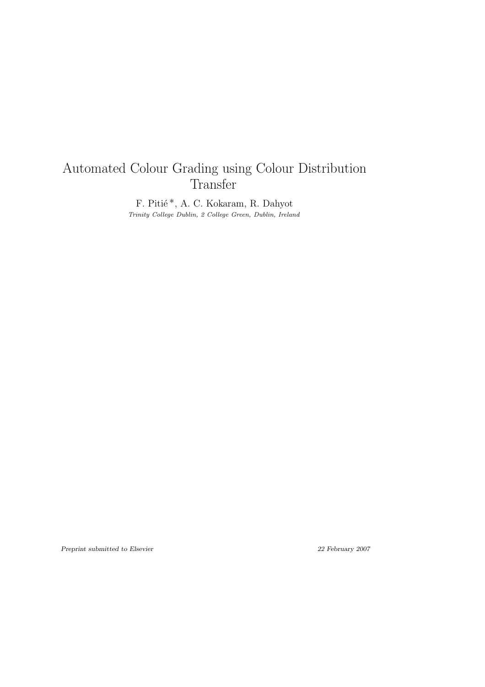# Automated Colour Grading using Colour Distribution Transfer

F. Pitié <sup>∗</sup>, A. C. Kokaram, R. Dahyot Trinity College Dublin, 2 College Green, Dublin, Ireland

Preprint submitted to Elsevier 22 February 2007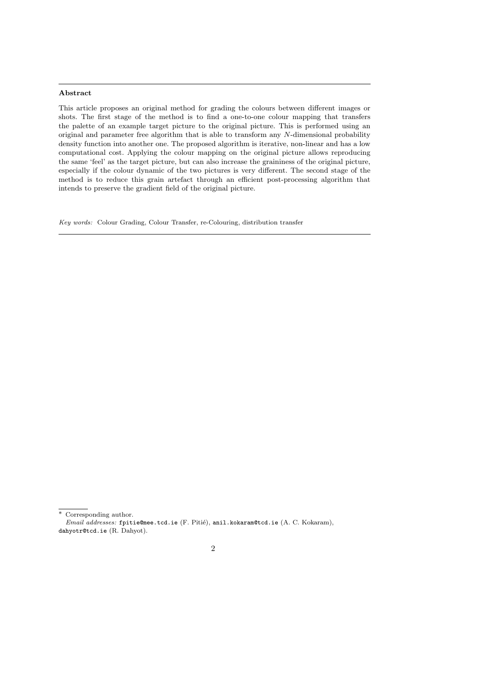#### Abstract

This article proposes an original method for grading the colours between different images or shots. The first stage of the method is to find a one-to-one colour mapping that transfers the palette of an example target picture to the original picture. This is performed using an original and parameter free algorithm that is able to transform any N-dimensional probability density function into another one. The proposed algorithm is iterative, non-linear and has a low computational cost. Applying the colour mapping on the original picture allows reproducing the same 'feel' as the target picture, but can also increase the graininess of the original picture, especially if the colour dynamic of the two pictures is very different. The second stage of the method is to reduce this grain artefact through an efficient post-processing algorithm that intends to preserve the gradient field of the original picture.

Key words: Colour Grading, Colour Transfer, re-Colouring, distribution transfer

<sup>∗</sup> Corresponding author.

Email addresses: fpitie@mee.tcd.ie (F. Pitié), anil.kokaram@tcd.ie (A. C. Kokaram), dahyotr@tcd.ie (R. Dahyot).

<sup>2</sup>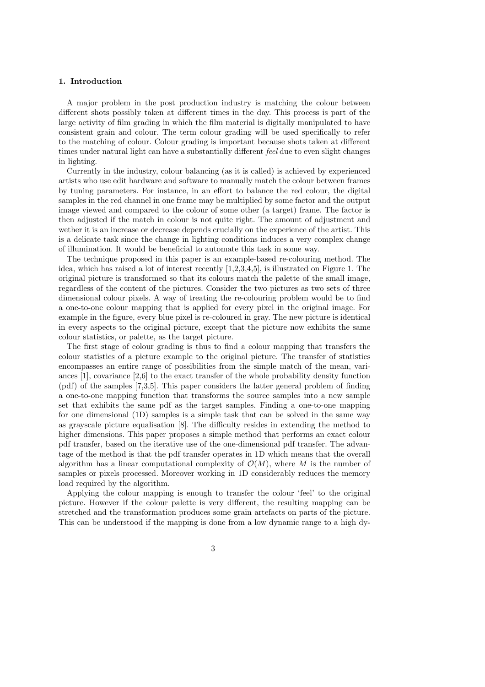#### 1. Introduction

A major problem in the post production industry is matching the colour between different shots possibly taken at different times in the day. This process is part of the large activity of film grading in which the film material is digitally manipulated to have consistent grain and colour. The term colour grading will be used specifically to refer to the matching of colour. Colour grading is important because shots taken at different times under natural light can have a substantially different *feel* due to even slight changes in lighting.

Currently in the industry, colour balancing (as it is called) is achieved by experienced artists who use edit hardware and software to manually match the colour between frames by tuning parameters. For instance, in an effort to balance the red colour, the digital samples in the red channel in one frame may be multiplied by some factor and the output image viewed and compared to the colour of some other (a target) frame. The factor is then adjusted if the match in colour is not quite right. The amount of adjustment and wether it is an increase or decrease depends crucially on the experience of the artist. This is a delicate task since the change in lighting conditions induces a very complex change of illumination. It would be beneficial to automate this task in some way.

The technique proposed in this paper is an example-based re-colouring method. The idea, which has raised a lot of interest recently [1,2,3,4,5], is illustrated on Figure 1. The original picture is transformed so that its colours match the palette of the small image, regardless of the content of the pictures. Consider the two pictures as two sets of three dimensional colour pixels. A way of treating the re-colouring problem would be to find a one-to-one colour mapping that is applied for every pixel in the original image. For example in the figure, every blue pixel is re-coloured in gray. The new picture is identical in every aspects to the original picture, except that the picture now exhibits the same colour statistics, or palette, as the target picture.

The first stage of colour grading is thus to find a colour mapping that transfers the colour statistics of a picture example to the original picture. The transfer of statistics encompasses an entire range of possibilities from the simple match of the mean, variances  $[1]$ , covariance  $[2,6]$  to the exact transfer of the whole probability density function (pdf) of the samples [7,3,5]. This paper considers the latter general problem of finding a one-to-one mapping function that transforms the source samples into a new sample set that exhibits the same pdf as the target samples. Finding a one-to-one mapping for one dimensional (1D) samples is a simple task that can be solved in the same way as grayscale picture equalisation [8]. The difficulty resides in extending the method to higher dimensions. This paper proposes a simple method that performs an exact colour pdf transfer, based on the iterative use of the one-dimensional pdf transfer. The advantage of the method is that the pdf transfer operates in 1D which means that the overall algorithm has a linear computational complexity of  $\mathcal{O}(M)$ , where M is the number of samples or pixels processed. Moreover working in 1D considerably reduces the memory load required by the algorithm.

Applying the colour mapping is enough to transfer the colour 'feel' to the original picture. However if the colour palette is very different, the resulting mapping can be stretched and the transformation produces some grain artefacts on parts of the picture. This can be understood if the mapping is done from a low dynamic range to a high dy-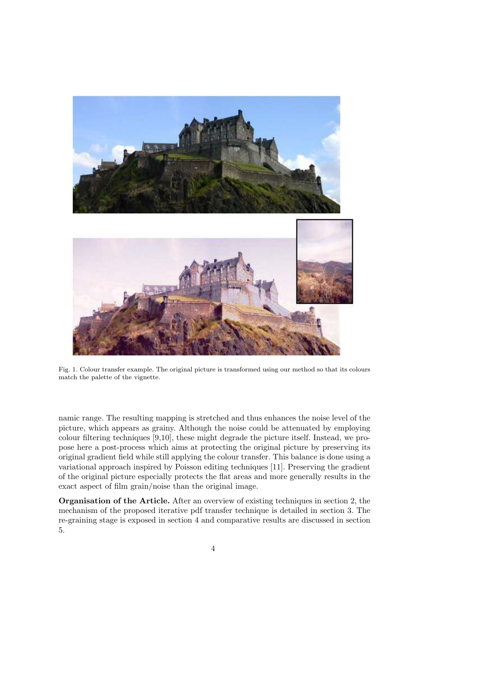

Fig. 1. Colour transfer example. The original picture is transformed using our method so that its colours match the palette of the vignette.

namic range. The resulting mapping is stretched and thus enhances the noise level of the picture, which appears as grainy. Although the noise could be attenuated by employing colour filtering techniques [9,10], these might degrade the picture itself. Instead, we propose here a post-process which aims at protecting the original picture by preserving its original gradient field while still applying the colour transfer. This balance is done using a variational approach inspired by Poisson editing techniques [11]. Preserving the gradient of the original picture especially protects the flat areas and more generally results in the exact aspect of film grain/noise than the original image.

Organisation of the Article. After an overview of existing techniques in section 2, the mechanism of the proposed iterative pdf transfer technique is detailed in section 3. The re-graining stage is exposed in section 4 and comparative results are discussed in section 5.

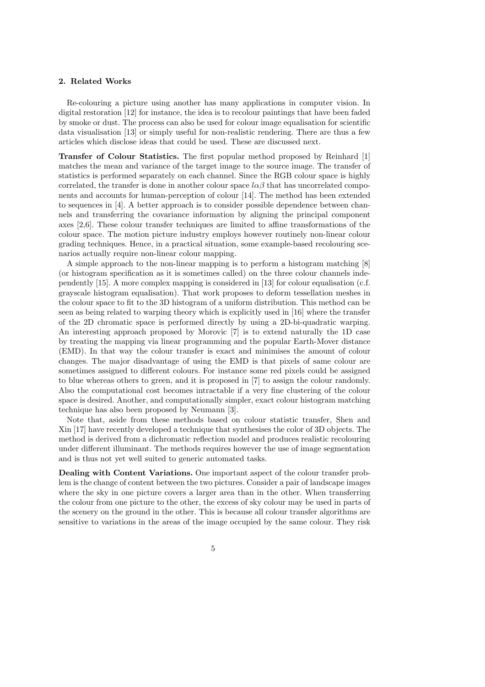### 2. Related Works

Re-colouring a picture using another has many applications in computer vision. In digital restoration [12] for instance, the idea is to recolour paintings that have been faded by smoke or dust. The process can also be used for colour image equalisation for scientific data visualisation [13] or simply useful for non-realistic rendering. There are thus a few articles which disclose ideas that could be used. These are discussed next.

Transfer of Colour Statistics. The first popular method proposed by Reinhard [1] matches the mean and variance of the target image to the source image. The transfer of statistics is performed separately on each channel. Since the RGB colour space is highly correlated, the transfer is done in another colour space  $l\alpha\beta$  that has uncorrelated components and accounts for human-perception of colour [14]. The method has been extended to sequences in [4]. A better approach is to consider possible dependence between channels and transferring the covariance information by aligning the principal component axes [2,6]. These colour transfer techniques are limited to affine transformations of the colour space. The motion picture industry employs however routinely non-linear colour grading techniques. Hence, in a practical situation, some example-based recolouring scenarios actually require non-linear colour mapping.

A simple approach to the non-linear mapping is to perform a histogram matching [8] (or histogram specification as it is sometimes called) on the three colour channels independently [15]. A more complex mapping is considered in [13] for colour equalisation (c.f. grayscale histogram equalisation). That work proposes to deform tessellation meshes in the colour space to fit to the 3D histogram of a uniform distribution. This method can be seen as being related to warping theory which is explicitly used in [16] where the transfer of the 2D chromatic space is performed directly by using a 2D-bi-quadratic warping. An interesting approach proposed by Morovic [7] is to extend naturally the 1D case by treating the mapping via linear programming and the popular Earth-Mover distance (EMD). In that way the colour transfer is exact and minimises the amount of colour changes. The major disadvantage of using the EMD is that pixels of same colour are sometimes assigned to different colours. For instance some red pixels could be assigned to blue whereas others to green, and it is proposed in [7] to assign the colour randomly. Also the computational cost becomes intractable if a very fine clustering of the colour space is desired. Another, and computationally simpler, exact colour histogram matching technique has also been proposed by Neumann [3].

Note that, aside from these methods based on colour statistic transfer, Shen and Xin [17] have recently developed a technique that synthesises the color of 3D objects. The method is derived from a dichromatic reflection model and produces realistic recolouring under different illuminant. The methods requires however the use of image segmentation and is thus not yet well suited to generic automated tasks.

Dealing with Content Variations. One important aspect of the colour transfer problem is the change of content between the two pictures. Consider a pair of landscape images where the sky in one picture covers a larger area than in the other. When transferring the colour from one picture to the other, the excess of sky colour may be used in parts of the scenery on the ground in the other. This is because all colour transfer algorithms are sensitive to variations in the areas of the image occupied by the same colour. They risk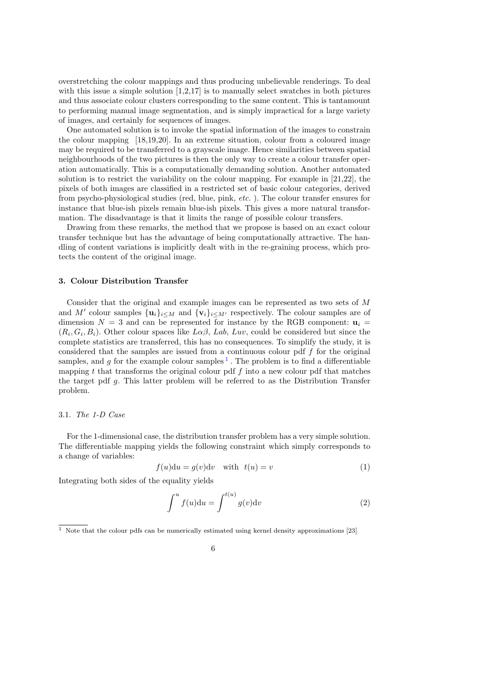overstretching the colour mappings and thus producing unbelievable renderings. To deal with this issue a simple solution  $[1,2,17]$  is to manually select swatches in both pictures and thus associate colour clusters corresponding to the same content. This is tantamount to performing manual image segmentation, and is simply impractical for a large variety of images, and certainly for sequences of images.

One automated solution is to invoke the spatial information of the images to constrain the colour mapping [18,19,20]. In an extreme situation, colour from a coloured image may be required to be transferred to a grayscale image. Hence similarities between spatial neighbourhoods of the two pictures is then the only way to create a colour transfer operation automatically. This is a computationally demanding solution. Another automated solution is to restrict the variability on the colour mapping. For example in [21,22], the pixels of both images are classified in a restricted set of basic colour categories, derived from psycho-physiological studies (red, blue, pink, *etc.* ). The colour transfer ensures for instance that blue-ish pixels remain blue-ish pixels. This gives a more natural transformation. The disadvantage is that it limits the range of possible colour transfers.

Drawing from these remarks, the method that we propose is based on an exact colour transfer technique but has the advantage of being computationally attractive. The handling of content variations is implicitly dealt with in the re-graining process, which protects the content of the original image.

#### 3. Colour Distribution Transfer

Consider that the original and example images can be represented as two sets of M and M' colour samples  $\{u_i\}_{i\leq M}$  and  $\{v_i\}_{i\leq M'}$  respectively. The colour samples are of dimension  $N = 3$  and can be represented for instance by the RGB component:  $u_i =$  $(R_i, G_i, B_i)$ . Other colour spaces like  $L\alpha\beta$ ,  $Lab$ ,  $Luv$ , could be considered but since the complete statistics are transferred, this has no consequences. To simplify the study, it is considered that the samples are issued from a continuous colour pdf f for the original samples, and g for the example colour samples<sup>[1](#page-5-0)</sup>. The problem is to find a differentiable mapping t that transforms the original colour pdf  $f$  into a new colour pdf that matches the target pdf g. This latter problem will be referred to as the Distribution Transfer problem.

## 3.1. *The 1-D Case*

For the 1-dimensional case, the distribution transfer problem has a very simple solution. The differentiable mapping yields the following constraint which simply corresponds to a change of variables:

$$
f(u)du = g(v)dv \quad \text{with} \quad t(u) = v \tag{1}
$$

Integrating both sides of the equality yields

$$
\int^{u} f(u) \mathrm{d}u = \int^{t(u)} g(v) \mathrm{d}v \tag{2}
$$

<span id="page-5-0"></span> $\frac{1}{1}$  Note that the colour pdfs can be numerically estimated using kernel density approximations [23]

<sup>6</sup>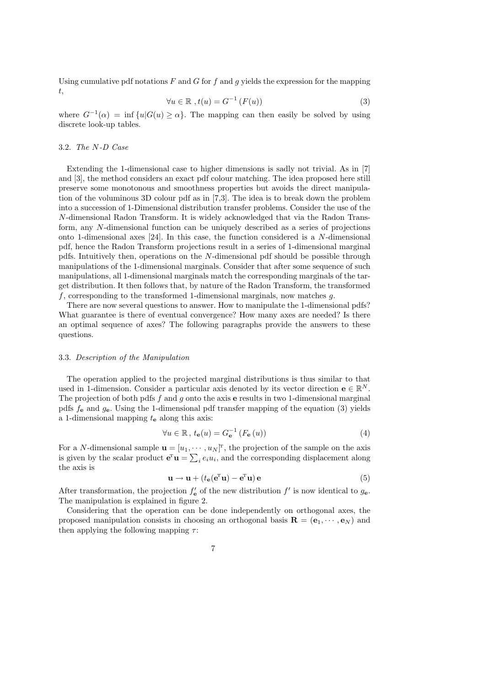Using cumulative pdf notations  $F$  and  $G$  for  $f$  and  $q$  yields the expression for the mapping t,

$$
\forall u \in \mathbb{R}, t(u) = G^{-1}(F(u)) \tag{3}
$$

where  $G^{-1}(\alpha) = \inf \{u | G(u) \geq \alpha\}.$  The mapping can then easily be solved by using discrete look-up tables.

### 3.2. *The* N*-D Case*

Extending the 1-dimensional case to higher dimensions is sadly not trivial. As in [7] and [3], the method considers an exact pdf colour matching. The idea proposed here still preserve some monotonous and smoothness properties but avoids the direct manipulation of the voluminous 3D colour pdf as in [7,3]. The idea is to break down the problem into a succession of 1-Dimensional distribution transfer problems. Consider the use of the N-dimensional Radon Transform. It is widely acknowledged that via the Radon Transform, any N-dimensional function can be uniquely described as a series of projections onto 1-dimensional axes [24]. In this case, the function considered is a N-dimensional pdf, hence the Radon Transform projections result in a series of 1-dimensional marginal pdfs. Intuitively then, operations on the N-dimensional pdf should be possible through manipulations of the 1-dimensional marginals. Consider that after some sequence of such manipulations, all 1-dimensional marginals match the corresponding marginals of the target distribution. It then follows that, by nature of the Radon Transform, the transformed f, corresponding to the transformed 1-dimensional marginals, now matches  $q$ .

There are now several questions to answer. How to manipulate the 1-dimensional pdfs? What guarantee is there of eventual convergence? How many axes are needed? Is there an optimal sequence of axes? The following paragraphs provide the answers to these questions.

#### 3.3. *Description of the Manipulation*

The operation applied to the projected marginal distributions is thus similar to that used in 1-dimension. Consider a particular axis denoted by its vector direction  $\mathbf{e} \in \mathbb{R}^N$ . The projection of both pdfs  $f$  and  $g$  onto the axis **e** results in two 1-dimensional marginal pdfs  $f_{\rm e}$  and  $g_{\rm e}$ . Using the 1-dimensional pdf transfer mapping of the equation (3) yields a 1-dimensional mapping  $t_e$  along this axis:

$$
\forall u \in \mathbb{R}, t_{\mathbf{e}}(u) = G_{\mathbf{e}}^{-1} \left( F_{\mathbf{e}}(u) \right) \tag{4}
$$

For a N-dimensional sample  $\mathbf{u} = [u_1, \dots, u_N]^T$ , the projection of the sample on the axis is given by the scalar product  $\mathbf{e}^{\mathsf{T}}\mathbf{u} = \sum_i e_i u_i$ , and the corresponding displacement along the axis is

$$
\mathbf{u} \to \mathbf{u} + (t_{\mathbf{e}}(\mathbf{e}^{\mathrm{T}} \mathbf{u}) - \mathbf{e}^{\mathrm{T}} \mathbf{u}) \mathbf{e}
$$
 (5)

After transformation, the projection  $f'_{\mathbf{e}}$  of the new distribution  $f'$  is now identical to  $g_{\mathbf{e}}$ . The manipulation is explained in figure 2.

Considering that the operation can be done independently on orthogonal axes, the proposed manipulation consists in choosing an orthogonal basis  $\mathbf{R} = (\mathbf{e}_1, \dots, \mathbf{e}_N)$  and then applying the following mapping  $\tau$ :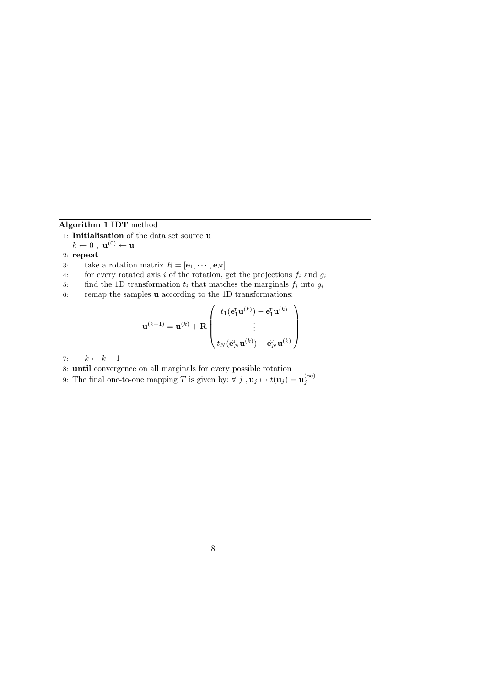Algorithm 1 IDT method

- 1: Initialisation of the data set source u
	- $k \leftarrow 0 \; , \; {\bf u}^{(0)} \leftarrow {\bf u}$

2: repeat

- 3: take a rotation matrix  $R = [\mathbf{e}_1, \cdots, \mathbf{e}_N]$
- 4: for every rotated axis i of the rotation, get the projections  $f_i$  and  $g_i$
- 5: find the 1D transformation  $t_i$  that matches the marginals  $f_i$  into  $g_i$
- 6: remap the samples u according to the 1D transformations:

$$
\mathbf{u}^{(k+1)} = \mathbf{u}^{(k)} + \mathbf{R} \begin{pmatrix} t_1(\mathbf{e}_1^{\mathrm{T}} \mathbf{u}^{(k)}) - \mathbf{e}_1^{\mathrm{T}} \mathbf{u}^{(k)} \\ \vdots \\ t_N(\mathbf{e}_N^{\mathrm{T}} \mathbf{u}^{(k)}) - \mathbf{e}_N^{\mathrm{T}} \mathbf{u}^{(k)} \end{pmatrix}
$$

7:  $k \leftarrow k + 1$ 

- 8: until convergence on all marginals for every possible rotation
- 9: The final one-to-one mapping T is given by:  $\forall j, \mathbf{u}_j \mapsto t(\mathbf{u}_j) = \mathbf{u}_j^{(\infty)}$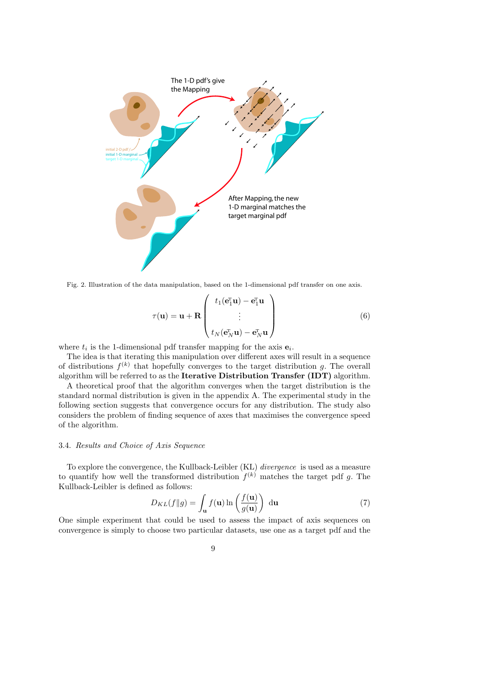

Fig. 2. Illustration of the data manipulation, based on the 1-dimensional pdf transfer on one axis.

$$
\tau(\mathbf{u}) = \mathbf{u} + \mathbf{R} \begin{pmatrix} t_1(\mathbf{e}_1^{\mathrm{T}} \mathbf{u}) - \mathbf{e}_1^{\mathrm{T}} \mathbf{u} \\ \vdots \\ t_N(\mathbf{e}_N^{\mathrm{T}} \mathbf{u}) - \mathbf{e}_N^{\mathrm{T}} \mathbf{u} \end{pmatrix}
$$
(6)

where  $t_i$  is the 1-dimensional pdf transfer mapping for the axis  $e_i$ .

The idea is that iterating this manipulation over different axes will result in a sequence of distributions  $f^{(k)}$  that hopefully converges to the target distribution g. The overall algorithm will be referred to as the Iterative Distribution Transfer (IDT) algorithm.

A theoretical proof that the algorithm converges when the target distribution is the standard normal distribution is given in the appendix A. The experimental study in the following section suggests that convergence occurs for any distribution. The study also considers the problem of finding sequence of axes that maximises the convergence speed of the algorithm.

## 3.4. *Results and Choice of Axis Sequence*

To explore the convergence, the Kullback-Leibler (KL) *divergence* is used as a measure to quantify how well the transformed distribution  $f^{(k)}$  matches the target pdf g. The Kullback-Leibler is defined as follows:

$$
D_{KL}(f||g) = \int_{\mathbf{u}} f(\mathbf{u}) \ln \left( \frac{f(\mathbf{u})}{g(\mathbf{u})} \right) d\mathbf{u}
$$
 (7)

One simple experiment that could be used to assess the impact of axis sequences on convergence is simply to choose two particular datasets, use one as a target pdf and the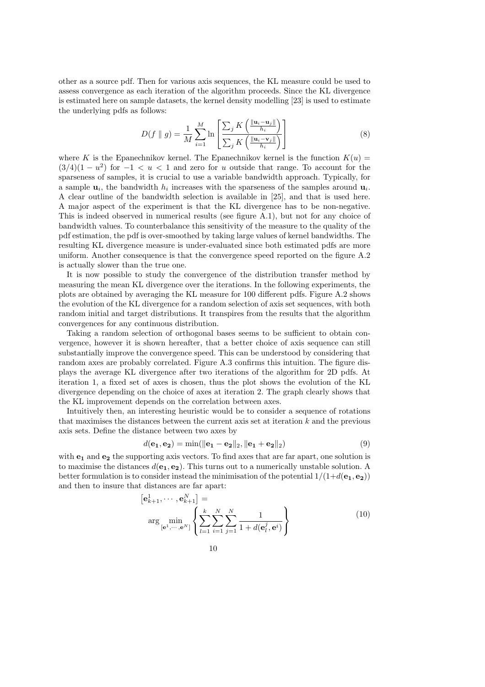other as a source pdf. Then for various axis sequences, the KL measure could be used to assess convergence as each iteration of the algorithm proceeds. Since the KL divergence is estimated here on sample datasets, the kernel density modelling [23] is used to estimate the underlying pdfs as follows:

$$
D(f \parallel g) = \frac{1}{M} \sum_{i=1}^{M} \ln \left[ \frac{\sum_{j} K\left(\frac{\|\mathbf{u}_{i} - \mathbf{u}_{j}\|}{h_{i}}\right)}{\sum_{j} K\left(\frac{\|\mathbf{u}_{i} - \mathbf{v}_{j}\|}{h_{i}}\right)} \right]
$$
(8)

where K is the Epanechnikov kernel. The Epanechnikov kernel is the function  $K(u)$  =  $(3/4)(1-u^2)$  for  $-1 < u < 1$  and zero for u outside that range. To account for the sparseness of samples, it is crucial to use a variable bandwidth approach. Typically, for a sample  $\mathbf{u}_i$ , the bandwidth  $h_i$  increases with the sparseness of the samples around  $\mathbf{u}_i$ . A clear outline of the bandwidth selection is available in [25], and that is used here. A major aspect of the experiment is that the KL divergence has to be non-negative. This is indeed observed in numerical results (see figure A.1), but not for any choice of bandwidth values. To counterbalance this sensitivity of the measure to the quality of the pdf estimation, the pdf is over-smoothed by taking large values of kernel bandwidths. The resulting KL divergence measure is under-evaluated since both estimated pdfs are more uniform. Another consequence is that the convergence speed reported on the figure A.2 is actually slower than the true one.

It is now possible to study the convergence of the distribution transfer method by measuring the mean KL divergence over the iterations. In the following experiments, the plots are obtained by averaging the KL measure for 100 different pdfs. Figure A.2 shows the evolution of the KL divergence for a random selection of axis set sequences, with both random initial and target distributions. It transpires from the results that the algorithm convergences for any continuous distribution.

Taking a random selection of orthogonal bases seems to be sufficient to obtain convergence, however it is shown hereafter, that a better choice of axis sequence can still substantially improve the convergence speed. This can be understood by considering that random axes are probably correlated. Figure A.3 confirms this intuition. The figure displays the average KL divergence after two iterations of the algorithm for 2D pdfs. At iteration 1, a fixed set of axes is chosen, thus the plot shows the evolution of the KL divergence depending on the choice of axes at iteration 2. The graph clearly shows that the KL improvement depends on the correlation between axes.

Intuitively then, an interesting heuristic would be to consider a sequence of rotations that maximises the distances between the current axis set at iteration k and the previous axis sets. Define the distance between two axes by

$$
d(\mathbf{e_1}, \mathbf{e_2}) = \min(\|\mathbf{e_1} - \mathbf{e_2}\|_2, \|\mathbf{e_1} + \mathbf{e_2}\|_2)
$$
(9)

with  $e_1$  and  $e_2$  the supporting axis vectors. To find axes that are far apart, one solution is to maximise the distances  $d(\mathbf{e_1}, \mathbf{e_2})$ . This turns out to a numerically unstable solution. A better formulation is to consider instead the minimisation of the potential  $1/(1+d(\mathbf{e_1}, \mathbf{e_2}))$ and then to insure that distances are far apart:

$$
\begin{aligned}\n[\mathbf{e}_{k+1}^1, \cdots, \mathbf{e}_{k+1}^N] &= \\
\arg \min_{\left[\mathbf{e}^1, \cdots, \mathbf{e}^N\right]} \left\{ \sum_{l=1}^k \sum_{i=1}^N \sum_{j=1}^N \frac{1}{1 + d(\mathbf{e}_l^j, \mathbf{e}^i)} \right\}\n\end{aligned} \tag{10}
$$

10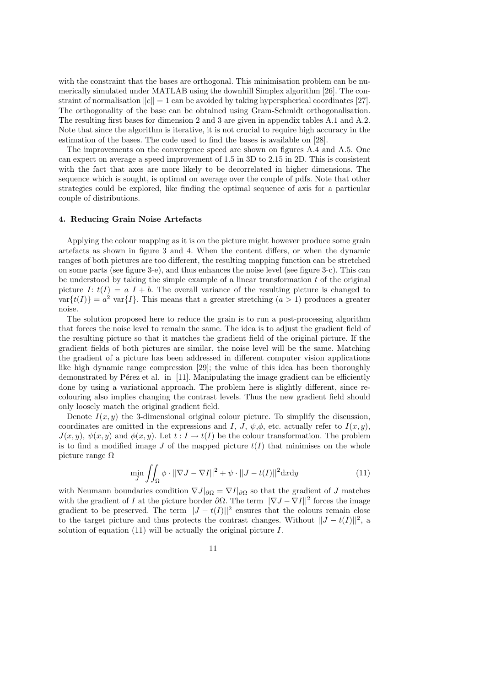with the constraint that the bases are orthogonal. This minimisation problem can be numerically simulated under MATLAB using the downhill Simplex algorithm [26]. The constraint of normalisation  $||e|| = 1$  can be avoided by taking hyperspherical coordinates [27]. The orthogonality of the base can be obtained using Gram-Schmidt orthogonalisation. The resulting first bases for dimension 2 and 3 are given in appendix tables A.1 and A.2. Note that since the algorithm is iterative, it is not crucial to require high accuracy in the estimation of the bases. The code used to find the bases is available on [28].

The improvements on the convergence speed are shown on figures A.4 and A.5. One can expect on average a speed improvement of 1.5 in 3D to 2.15 in 2D. This is consistent with the fact that axes are more likely to be decorrelated in higher dimensions. The sequence which is sought, is optimal on average over the couple of pdfs. Note that other strategies could be explored, like finding the optimal sequence of axis for a particular couple of distributions.

#### 4. Reducing Grain Noise Artefacts

Applying the colour mapping as it is on the picture might however produce some grain artefacts as shown in figure 3 and 4. When the content differs, or when the dynamic ranges of both pictures are too different, the resulting mapping function can be stretched on some parts (see figure 3-e), and thus enhances the noise level (see figure 3-c). This can be understood by taking the simple example of a linear transformation  $t$  of the original picture I:  $t(I) = a I + b$ . The overall variance of the resulting picture is changed to  $var{t(I)} = a^2 var{I}.$  This means that a greater stretching  $(a > 1)$  produces a greater noise.

The solution proposed here to reduce the grain is to run a post-processing algorithm that forces the noise level to remain the same. The idea is to adjust the gradient field of the resulting picture so that it matches the gradient field of the original picture. If the gradient fields of both pictures are similar, the noise level will be the same. Matching the gradient of a picture has been addressed in different computer vision applications like high dynamic range compression [29]; the value of this idea has been thoroughly demonstrated by P $\acute{e}$ rez et al. in [11]. Manipulating the image gradient can be efficiently done by using a variational approach. The problem here is slightly different, since recolouring also implies changing the contrast levels. Thus the new gradient field should only loosely match the original gradient field.

Denote  $I(x, y)$  the 3-dimensional original colour picture. To simplify the discussion, coordinates are omitted in the expressions and I, J,  $\psi, \phi$ , etc. actually refer to  $I(x, y)$ ,  $J(x,y)$ ,  $\psi(x,y)$  and  $\phi(x,y)$ . Let  $t : I \to t(I)$  be the colour transformation. The problem is to find a modified image J of the mapped picture  $t(I)$  that minimises on the whole picture range  $\Omega$ 

$$
\min_{J} \iint_{\Omega} \phi \cdot ||\nabla J - \nabla I||^2 + \psi \cdot ||J - t(I)||^2 \, \mathrm{d}x \, \mathrm{d}y \tag{11}
$$

with Neumann boundaries condition  $\nabla J|_{\partial\Omega} = \nabla I|_{\partial\Omega}$  so that the gradient of J matches with the gradient of I at the picture border  $\partial\Omega$ . The term  $||\nabla J - \nabla I||^2$  forces the image gradient to be preserved. The term  $||J - t(I)||^2$  ensures that the colours remain close to the target picture and thus protects the contrast changes. Without  $||J - t(I)||^2$ , a solution of equation  $(11)$  will be actually the original picture I.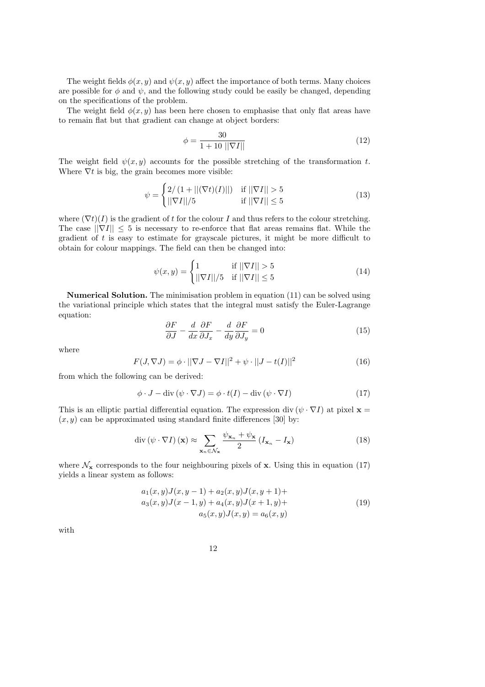The weight fields  $\phi(x, y)$  and  $\psi(x, y)$  affect the importance of both terms. Many choices are possible for  $\phi$  and  $\psi$ , and the following study could be easily be changed, depending on the specifications of the problem.

The weight field  $\phi(x, y)$  has been here chosen to emphasise that only flat areas have to remain flat but that gradient can change at object borders:

$$
\phi = \frac{30}{1 + 10 \|\nabla I\|} \tag{12}
$$

The weight field  $\psi(x,y)$  accounts for the possible stretching of the transformation t. Where  $\nabla t$  is big, the grain becomes more visible:

$$
\psi = \begin{cases} 2/(1 + ||(\nabla t)(I)||) & \text{if } ||\nabla I|| > 5\\ ||\nabla I||/5 & \text{if } ||\nabla I|| \le 5 \end{cases}
$$
(13)

where  $(\nabla t)(I)$  is the gradient of t for the colour I and thus refers to the colour stretching. The case  $||\nabla I|| \leq 5$  is necessary to re-enforce that flat areas remains flat. While the gradient of  $t$  is easy to estimate for grayscale pictures, it might be more difficult to obtain for colour mappings. The field can then be changed into:

$$
\psi(x,y) = \begin{cases} 1 & \text{if } ||\nabla I|| > 5\\ ||\nabla I||/5 & \text{if } ||\nabla I|| \le 5 \end{cases}
$$
(14)

Numerical Solution. The minimisation problem in equation (11) can be solved using the variational principle which states that the integral must satisfy the Euler-Lagrange equation:

$$
\frac{\partial F}{\partial J} - \frac{d}{dx} \frac{\partial F}{\partial J_x} - \frac{d}{dy} \frac{\partial F}{\partial J_y} = 0
$$
\n(15)

where

$$
F(J, \nabla J) = \phi \cdot ||\nabla J - \nabla I||^2 + \psi \cdot ||J - t(I)||^2 \tag{16}
$$

from which the following can be derived:

$$
\phi \cdot J - \operatorname{div} (\psi \cdot \nabla J) = \phi \cdot t(I) - \operatorname{div} (\psi \cdot \nabla I) \tag{17}
$$

This is an elliptic partial differential equation. The expression div ( $\psi \cdot \nabla I$ ) at pixel  $\mathbf{x} =$  $(x, y)$  can be approximated using standard finite differences [30] by:

$$
\operatorname{div}\left(\psi\cdot\nabla I\right)(\mathbf{x}) \approx \sum_{\mathbf{x}_n \in \mathcal{N}_\mathbf{x}} \frac{\psi_{\mathbf{x}_n} + \psi_{\mathbf{x}}}{2} \left(I_{\mathbf{x}_n} - I_{\mathbf{x}}\right) \tag{18}
$$

where  $\mathcal{N}_{\mathbf{x}}$  corresponds to the four neighbouring pixels of x. Using this in equation (17) yields a linear system as follows:

$$
a_1(x, y)J(x, y-1) + a_2(x, y)J(x, y+1) +a_3(x, y)J(x-1, y) + a_4(x, y)J(x+1, y)+a_5(x, y)J(x, y) = a_6(x, y)
$$
\n(19)

with

$$
12\quad
$$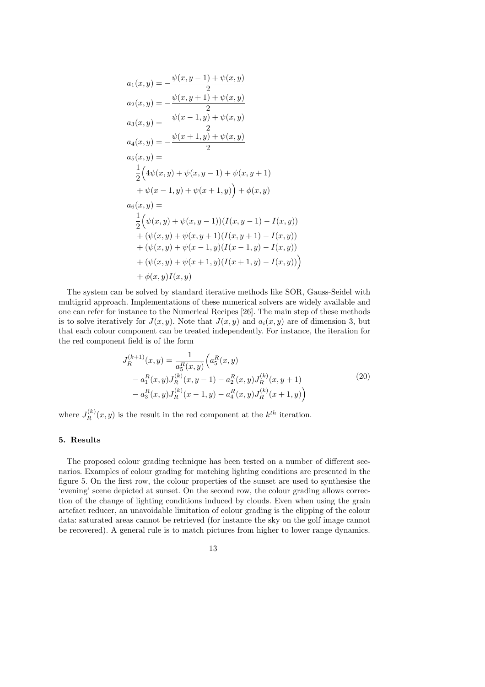$$
a_1(x, y) = -\frac{\psi(x, y-1) + \psi(x, y)}{2}
$$
  
\n
$$
a_2(x, y) = -\frac{\psi(x, y+1) + \psi(x, y)}{2}
$$
  
\n
$$
a_3(x, y) = -\frac{\psi(x-1, y) + \psi(x, y)}{2}
$$
  
\n
$$
a_4(x, y) = -\frac{\psi(x+1, y) + \psi(x, y)}{2}
$$
  
\n
$$
a_5(x, y) = \frac{1}{2}(4\psi(x, y) + \psi(x, y-1) + \psi(x, y+1)
$$
  
\n
$$
+ \psi(x-1, y) + \psi(x+1, y) + \phi(x, y)
$$
  
\n
$$
a_6(x, y) = \frac{1}{2}(\psi(x, y) + \psi(x, y-1))(I(x, y-1) - I(x, y))
$$
  
\n
$$
+ (\psi(x, y) + \psi(x, y+1)(I(x, y+1) - I(x, y))
$$
  
\n
$$
+ (\psi(x, y) + \psi(x-1, y)(I(x-1, y) - I(x, y)))
$$
  
\n
$$
+ (\psi(x, y) + \psi(x+1, y)(I(x+1, y) - I(x, y)))
$$
  
\n
$$
+ \phi(x, y)I(x, y)
$$

The system can be solved by standard iterative methods like SOR, Gauss-Seidel with multigrid approach. Implementations of these numerical solvers are widely available and one can refer for instance to the Numerical Recipes [26]. The main step of these methods is to solve iteratively for  $J(x, y)$ . Note that  $J(x, y)$  and  $a_i(x, y)$  are of dimension 3, but that each colour component can be treated independently. For instance, the iteration for the red component field is of the form

$$
J_R^{(k+1)}(x,y) = \frac{1}{a_5^R(x,y)} \Big( a_5^R(x,y) - a_1^R(x,y) J_R^{(k)}(x,y-1) - a_2^R(x,y) J_R^{(k)}(x,y+1) - a_3^R(x,y) J_R^{(k)}(x-1,y) - a_4^R(x,y) J_R^{(k)}(x+1,y) \Big)
$$
\n
$$
(20)
$$

where  $J_R^{(k)}(x, y)$  is the result in the red component at the  $k^{th}$  iteration.

## 5. Results

The proposed colour grading technique has been tested on a number of different scenarios. Examples of colour grading for matching lighting conditions are presented in the figure 5. On the first row, the colour properties of the sunset are used to synthesise the 'evening' scene depicted at sunset. On the second row, the colour grading allows correction of the change of lighting conditions induced by clouds. Even when using the grain artefact reducer, an unavoidable limitation of colour grading is the clipping of the colour data: saturated areas cannot be retrieved (for instance the sky on the golf image cannot be recovered). A general rule is to match pictures from higher to lower range dynamics.

13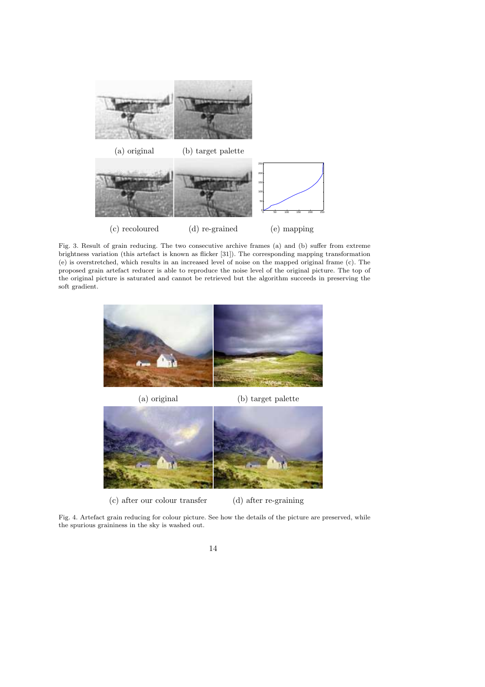

Fig. 3. Result of grain reducing. The two consecutive archive frames (a) and (b) suffer from extreme brightness variation (this artefact is known as flicker [31]). The corresponding mapping transformation (e) is overstretched, which results in an increased level of noise on the mapped original frame (c). The proposed grain artefact reducer is able to reproduce the noise level of the original picture. The top of the original picture is saturated and cannot be retrieved but the algorithm succeeds in preserving the soft gradient.



(a) original (b) target palette



(c) after our colour transfer (d) after re-graining

Fig. 4. Artefact grain reducing for colour picture. See how the details of the picture are preserved, while the spurious graininess in the sky is washed out.

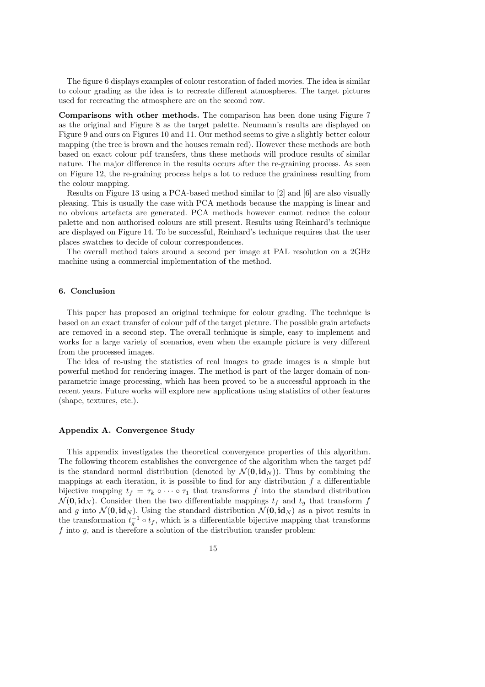The figure 6 displays examples of colour restoration of faded movies. The idea is similar to colour grading as the idea is to recreate different atmospheres. The target pictures used for recreating the atmosphere are on the second row.

Comparisons with other methods. The comparison has been done using Figure 7 as the original and Figure 8 as the target palette. Neumann's results are displayed on Figure 9 and ours on Figures 10 and 11. Our method seems to give a slightly better colour mapping (the tree is brown and the houses remain red). However these methods are both based on exact colour pdf transfers, thus these methods will produce results of similar nature. The major difference in the results occurs after the re-graining process. As seen on Figure 12, the re-graining process helps a lot to reduce the graininess resulting from the colour mapping.

Results on Figure 13 using a PCA-based method similar to [2] and [6] are also visually pleasing. This is usually the case with PCA methods because the mapping is linear and no obvious artefacts are generated. PCA methods however cannot reduce the colour palette and non authorised colours are still present. Results using Reinhard's technique are displayed on Figure 14. To be successful, Reinhard's technique requires that the user places swatches to decide of colour correspondences.

The overall method takes around a second per image at PAL resolution on a 2GHz machine using a commercial implementation of the method.

## 6. Conclusion

This paper has proposed an original technique for colour grading. The technique is based on an exact transfer of colour pdf of the target picture. The possible grain artefacts are removed in a second step. The overall technique is simple, easy to implement and works for a large variety of scenarios, even when the example picture is very different from the processed images.

The idea of re-using the statistics of real images to grade images is a simple but powerful method for rendering images. The method is part of the larger domain of nonparametric image processing, which has been proved to be a successful approach in the recent years. Future works will explore new applications using statistics of other features (shape, textures, etc.).

#### Appendix A. Convergence Study

This appendix investigates the theoretical convergence properties of this algorithm. The following theorem establishes the convergence of the algorithm when the target pdf is the standard normal distribution (denoted by  $\mathcal{N}(\mathbf{0}, \mathbf{id}_N)$ ). Thus by combining the mappings at each iteration, it is possible to find for any distribution  $f$  a differentiable bijective mapping  $t_f = \tau_k \circ \cdots \circ \tau_1$  that transforms f into the standard distribution  $\mathcal{N}(\mathbf{0}, \mathbf{id}_N)$ . Consider then the two differentiable mappings  $t_f$  and  $t_g$  that transform f and g into  $\mathcal{N}(\mathbf{0}, \mathbf{id}_N)$ . Using the standard distribution  $\mathcal{N}(\mathbf{0}, \mathbf{id}_N)$  as a pivot results in the transformation  $t_g^{-1} \circ t_f$ , which is a differentiable bijective mapping that transforms  $f$  into  $g$ , and is therefore a solution of the distribution transfer problem:

15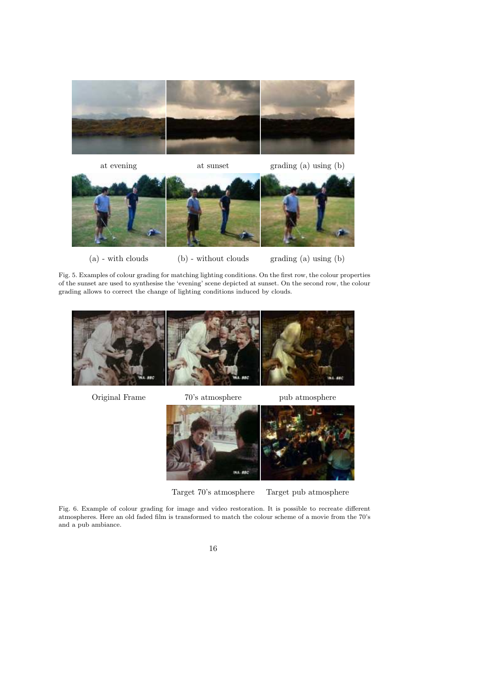

at evening at sunset at sunset grading (a) using (b)

(a) - with clouds (b) - without clouds grading (a) using (b)

Fig. 5. Examples of colour grading for matching lighting conditions. On the first row, the colour properties of the sunset are used to synthesise the 'evening' scene depicted at sunset. On the second row, the colour grading allows to correct the change of lighting conditions induced by clouds.



Original Frame 70's atmosphere pub atmosphere



Target 70's atmosphere Target pub atmosphere

Fig. 6. Example of colour grading for image and video restoration. It is possible to recreate different atmospheres. Here an old faded film is transformed to match the colour scheme of a movie from the 70's and a pub ambiance.

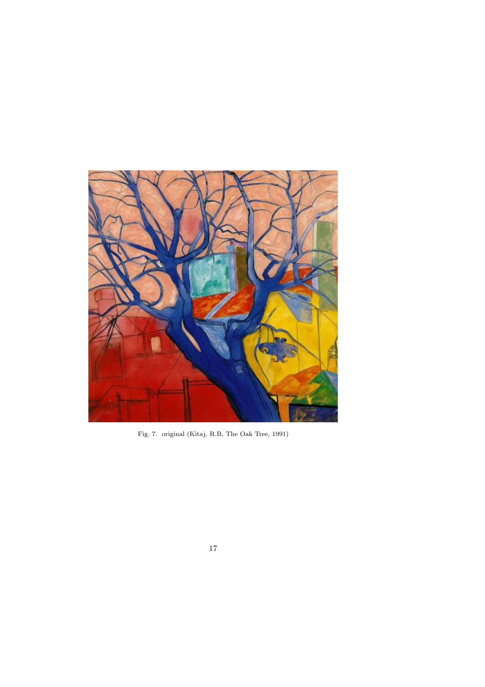

Fig. 7. original (Kitaj, R.B, The Oak Tree, 1991)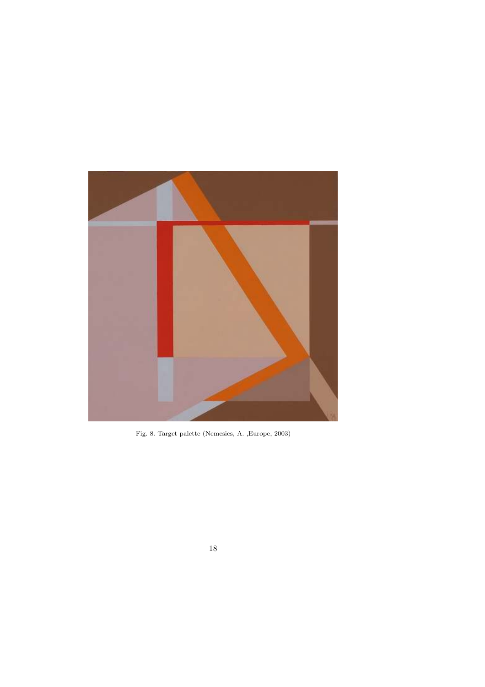

Fig. 8. Target palette (Nemcsics, A. ,Europe, 2003)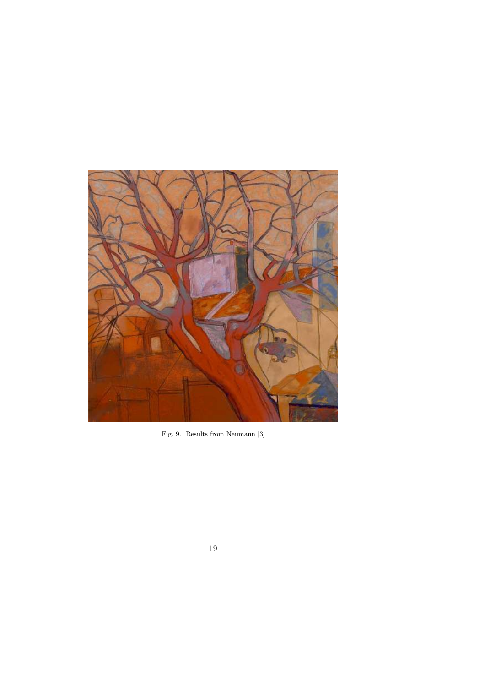

Fig. 9. Results from Neumann [3]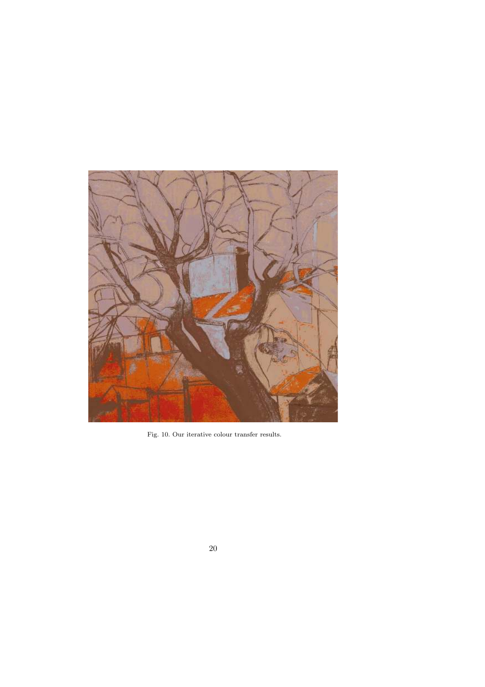

Fig. 10. Our iterative colour transfer results.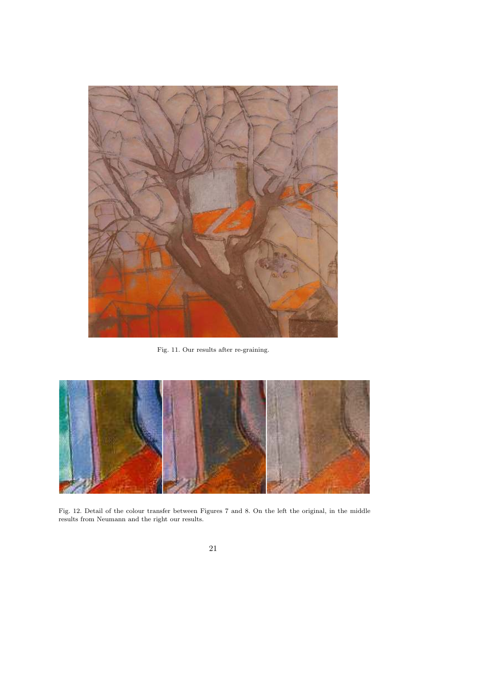

Fig. 11. Our results after re-graining.



Fig. 12. Detail of the colour transfer between Figures 7 and 8. On the left the original, in the middle results from Neumann and the right our results.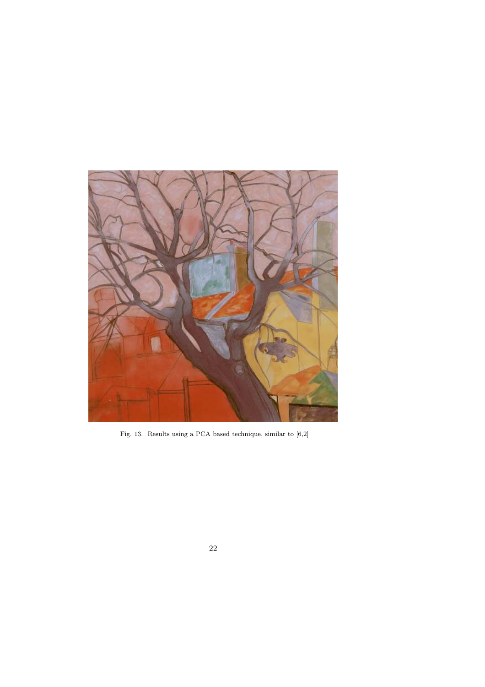

Fig. 13. Results using a PCA based technique, similar to [6,2]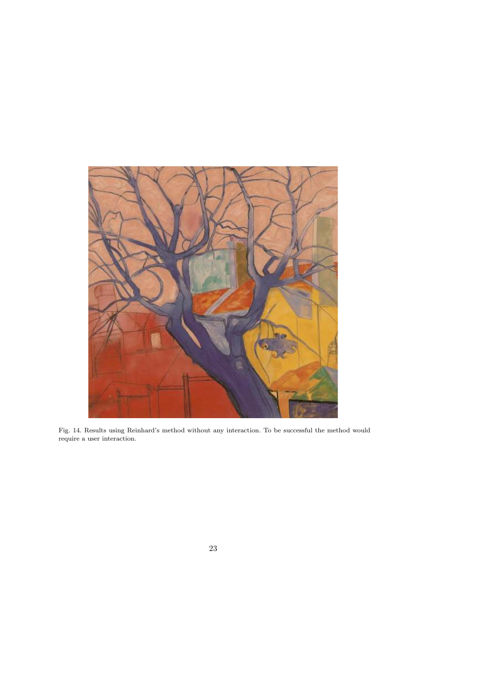

Fig. 14. Results using Reinhard's method without any interaction. To be successful the method would require a user interaction.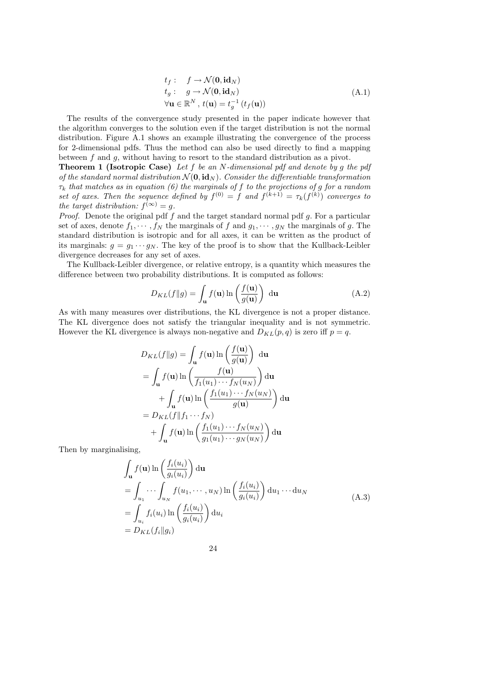$$
t_f: \t f \to \mathcal{N}(\mathbf{0}, \mathbf{id}_N)
$$
  
\n
$$
t_g: \t g \to \mathcal{N}(\mathbf{0}, \mathbf{id}_N)
$$
  
\n
$$
\forall \mathbf{u} \in \mathbb{R}^N, \ t(\mathbf{u}) = t_g^{-1} (t_f(\mathbf{u}))
$$
\n(A.1)

The results of the convergence study presented in the paper indicate however that the algorithm converges to the solution even if the target distribution is not the normal distribution. Figure A.1 shows an example illustrating the convergence of the process for 2-dimensional pdfs. Thus the method can also be used directly to find a mapping between f and g, without having to resort to the standard distribution as a pivot.

Theorem 1 (Isotropic Case) *Let* f *be an* N*-dimensional pdf and denote by* g *the pdf of the standard normal distribution*  $\mathcal{N}(\mathbf{0}, \mathbf{id}_N)$ *. Consider the differentiable transformation* τ<sup>k</sup> *that matches as in equation (6) the marginals of* f *to the projections of* g *for a random* set of axes. Then the sequence defined by  $f^{(0)} = f$  and  $f^{(k+1)} = \tau_k(f^{(k)})$  converges to the target distribution:  $f^{(\infty)} = g$ .

*Proof.* Denote the original pdf f and the target standard normal pdf g. For a particular set of axes, denote  $f_1, \dots, f_N$  the marginals of f and  $g_1, \dots, g_N$  the marginals of g. The standard distribution is isotropic and for all axes, it can be written as the product of its marginals:  $g = g_1 \cdots g_N$ . The key of the proof is to show that the Kullback-Leibler divergence decreases for any set of axes.

The Kullback-Leibler divergence, or relative entropy, is a quantity which measures the difference between two probability distributions. It is computed as follows:

$$
D_{KL}(f||g) = \int_{\mathbf{u}} f(\mathbf{u}) \ln \left( \frac{f(\mathbf{u})}{g(\mathbf{u})} \right) d\mathbf{u}
$$
 (A.2)

As with many measures over distributions, the KL divergence is not a proper distance. The KL divergence does not satisfy the triangular inequality and is not symmetric. However the KL divergence is always non-negative and  $D_{KL}(p,q)$  is zero iff  $p = q$ .

$$
D_{KL}(f||g) = \int_{\mathbf{u}} f(\mathbf{u}) \ln \left( \frac{f(\mathbf{u})}{g(\mathbf{u})} \right) d\mathbf{u}
$$
  
= 
$$
\int_{\mathbf{u}} f(\mathbf{u}) \ln \left( \frac{f(\mathbf{u})}{f_1(u_1) \cdots f_N(u_N)} \right) d\mathbf{u}
$$
  
+ 
$$
\int_{\mathbf{u}} f(\mathbf{u}) \ln \left( \frac{f_1(u_1) \cdots f_N(u_N)}{g(\mathbf{u})} \right) d\mathbf{u}
$$
  
= 
$$
D_{KL}(f||f_1 \cdots f_N)
$$
  
+ 
$$
\int_{\mathbf{u}} f(\mathbf{u}) \ln \left( \frac{f_1(u_1) \cdots f_N(u_N)}{g_1(u_1) \cdots g_N(u_N)} \right) d\mathbf{u}
$$

Then by marginalising,

$$
\int_{\mathbf{u}} f(\mathbf{u}) \ln \left( \frac{f_i(u_i)}{g_i(u_i)} \right) d\mathbf{u}
$$
\n
$$
= \int_{u_1} \cdots \int_{u_N} f(u_1, \cdots, u_N) \ln \left( \frac{f_i(u_i)}{g_i(u_i)} \right) du_1 \cdots du_N
$$
\n
$$
= \int_{u_i} f_i(u_i) \ln \left( \frac{f_i(u_i)}{g_i(u_i)} \right) du_i
$$
\n
$$
= D_{KL}(f_i || g_i)
$$
\n(A.3)

24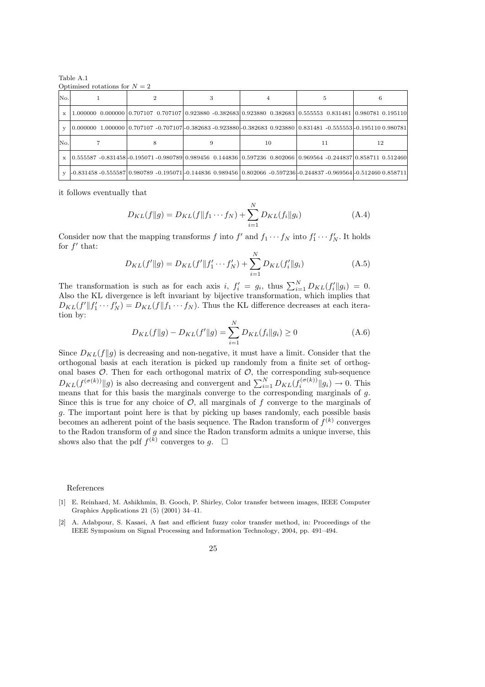Table A.1 Optimised rotations for  $N = 2$ 

| No.          |                                                                                                                                                |  |    |                                                                                                                                                                                               |    |
|--------------|------------------------------------------------------------------------------------------------------------------------------------------------|--|----|-----------------------------------------------------------------------------------------------------------------------------------------------------------------------------------------------|----|
| $\mathbf{x}$ |                                                                                                                                                |  |    | $(1.000000 \quad 0.000000 \mid 0.707107 \quad 0.707107 \mid 0.923880 \mid -0.382683 \mid 0.923880 \quad 0.382683 \mid 0.555553 \quad 0.831481 \mid 0.980781 \quad 0.195110$                   |    |
|              |                                                                                                                                                |  |    | $\mid$ 0.000000 $\mid$ 1.000000 $\mid$ 0.707107 -0.707107l-0.382683 -0.923880l-0.382683 0.923880 $\mid$ 0.831481 -0.555553l-0.195110 0.980781                                                 |    |
| No.          |                                                                                                                                                |  | 10 | 11                                                                                                                                                                                            | 12 |
| $\mathbf{x}$ | $(0.555587 - 0.831458) - 0.195071 - 0.980789)$ $(0.989456 - 0.144836)$ $(0.597236 - 0.802066)$ $(0.969564 - 0.244837)$ $(0.858711 - 0.512460)$ |  |    |                                                                                                                                                                                               |    |
|              |                                                                                                                                                |  |    | $\left  -0.831458\right  -0.555587 \right  0.980789$ - $0.195071 \right  -0.144836$ 0.989456 $\left  0.802066$ - $0.597236 \right $ - $0.244837$ - $0.969564 \right $ - $0.512460$ $0.858711$ |    |

it follows eventually that

$$
D_{KL}(f||g) = D_{KL}(f||f_1 \cdots f_N) + \sum_{i=1}^{N} D_{KL}(f_i||g_i)
$$
 (A.4)

Consider now that the mapping transforms f into  $f'$  and  $f_1 \cdots f_N$  into  $f'_1 \cdots f'_N$ . It holds for  $f'$  that:

$$
D_{KL}(f'||g) = D_{KL}(f'||f'_1 \cdots f'_N) + \sum_{i=1}^{N} D_{KL}(f'_i||g_i)
$$
 (A.5)

The transformation is such as for each axis i,  $f'_i = g_i$ , thus  $\sum_{i=1}^{N} D_{KL}(f'_i||g_i) = 0$ . Also the KL divergence is left invariant by bijective transformation, which implies that  $D_{KL}(f' || f'_1 \cdots f'_N) = D_{KL}(f || f_1 \cdots f_N)$ . Thus the KL difference decreases at each iteration by:

$$
D_{KL}(f||g) - D_{KL}(f'||g) = \sum_{i=1}^{N} D_{KL}(f_i||g_i) \ge 0
$$
\n(A.6)

Since  $D_{KL}(f||g)$  is decreasing and non-negative, it must have a limit. Consider that the orthogonal basis at each iteration is picked up randomly from a finite set of orthogonal bases  $\mathcal{O}$ . Then for each orthogonal matrix of  $\mathcal{O}$ , the corresponding sub-sequence  $D_{KL}(f^{(\sigma(k))} \| g)$  is also decreasing and convergent and  $\sum_{i=1}^{N} D_{KL}(f_i^{(\sigma(k))} \| g_i) \to 0$ . This means that for this basis the marginals converge to the corresponding marginals of g. Since this is true for any choice of  $\mathcal{O}$ , all marginals of f converge to the marginals of g. The important point here is that by picking up bases randomly, each possible basis becomes an adherent point of the basis sequence. The Radon transform of  $f^{(k)}$  converges to the Radon transform of  $g$  and since the Radon transform admits a unique inverse, this shows also that the pdf  $f^{(k)}$  converges to g.  $\Box$ 

References

- [1] E. Reinhard, M. Ashikhmin, B. Gooch, P. Shirley, Color transfer between images, IEEE Computer Graphics Applications 21 (5) (2001) 34–41.
- [2] A. Adabpour, S. Kasaei, A fast and efficient fuzzy color transfer method, in: Proceedings of the IEEE Symposium on Signal Processing and Information Technology, 2004, pp. 491–494.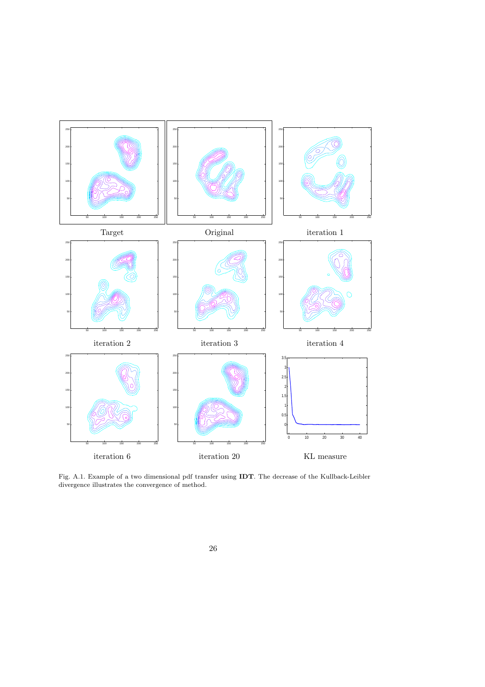

Fig. A.1. Example of a two dimensional pdf transfer using IDT. The decrease of the Kullback-Leibler divergence illustrates the convergence of method.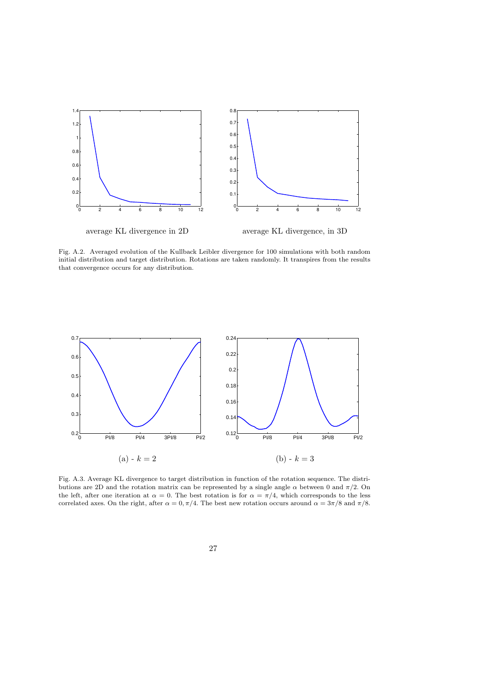

Fig. A.2. Averaged evolution of the Kullback Leibler divergence for 100 simulations with both random initial distribution and target distribution. Rotations are taken randomly. It transpires from the results that convergence occurs for any distribution.



Fig. A.3. Average KL divergence to target distribution in function of the rotation sequence. The distributions are 2D and the rotation matrix can be represented by a single angle  $\alpha$  between 0 and  $\pi/2$ . On the left, after one iteration at  $\alpha = 0$ . The best rotation is for  $\alpha = \pi/4$ , which corresponds to the less correlated axes. On the right, after  $\alpha = 0, \pi/4$ . The best new rotation occurs around  $\alpha = 3\pi/8$  and  $\pi/8$ .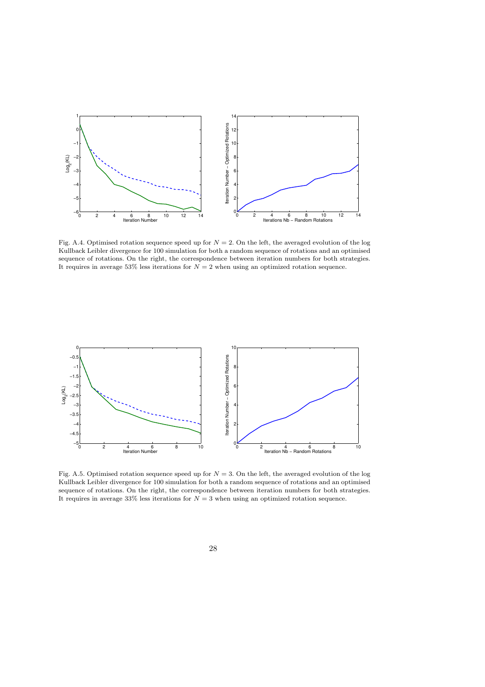

Fig. A.4. Optimised rotation sequence speed up for  $N = 2$ . On the left, the averaged evolution of the log Kullback Leibler divergence for 100 simulation for both a random sequence of rotations and an optimised sequence of rotations. On the right, the correspondence between iteration numbers for both strategies. It requires in average 53% less iterations for  $N = 2$  when using an optimized rotation sequence.



Fig. A.5. Optimised rotation sequence speed up for  $N = 3$ . On the left, the averaged evolution of the log Kullback Leibler divergence for 100 simulation for both a random sequence of rotations and an optimised sequence of rotations. On the right, the correspondence between iteration numbers for both strategies. It requires in average 33% less iterations for  $N = 3$  when using an optimized rotation sequence.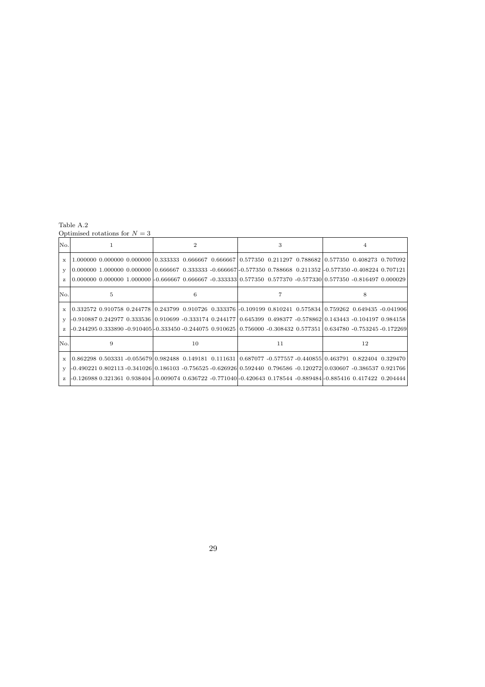| Table A. |  |
|----------|--|
|          |  |

|              | Optimised rotations for $N=3$ |                |                                                                                                                                                    |    |  |  |  |  |  |  |
|--------------|-------------------------------|----------------|----------------------------------------------------------------------------------------------------------------------------------------------------|----|--|--|--|--|--|--|
| No.          |                               | $\overline{2}$ | 3                                                                                                                                                  | 4  |  |  |  |  |  |  |
| $\mathbf{x}$ |                               |                | 1.000000 0.000000 0.000000 0.333333 0.666667 0.666667 0.577350 0.211297 0.788682 0.577350 0.408273 0.707092                                        |    |  |  |  |  |  |  |
| $\mathbf{v}$ |                               |                |                                                                                                                                                    |    |  |  |  |  |  |  |
| z            |                               |                | $0.000000$ $0.000000$ $1.000000$ $-0.666667$ $0.666667$ $-0.333333$ $0.577350$ $0.577370$ $-0.577330$ $0.577350$ $-0.816497$ $0.000029$            |    |  |  |  |  |  |  |
| No.          | 5.                            | 6              |                                                                                                                                                    | 8  |  |  |  |  |  |  |
| $\mathbf{x}$ |                               |                | $(0.332572\;\,0.910758\;\,0.244778\, \,0.243799\;\,0.910726\;\,0.333376\, \,0.109199\;\,0.810241\;\,0.575834\, \,0.759262\;\,0.649435\;$ -0.041906 |    |  |  |  |  |  |  |
| $\mathbf{v}$ |                               |                | -0.910887 0.242977 0.333536 0.910699 -0.333174 0.244177 0.645399 0.498377 -0.578862 0.143443 -0.104197 0.984158                                    |    |  |  |  |  |  |  |
| Z            |                               |                | l-0.244295 0.333890 -0.910405l-0.333450 -0.244075 0.910625 0.756000 -0.308432 0.577351 0.634780 -0.753245 -0.172269                                |    |  |  |  |  |  |  |
| No.          | 9                             | 10             | 11                                                                                                                                                 | 12 |  |  |  |  |  |  |
| $\mathbf{x}$ |                               |                | $0.862298$ $0.503331$ $-0.055679$ $0.982488$ $0.149181$ $0.111631$ $0.687077$ $-0.577557$ $-0.440855$ $0.463791$ $0.822404$ $0.329470$             |    |  |  |  |  |  |  |
| $\mathbf{v}$ |                               |                | -0.490221 0.802113 -0.341026  0.186103 -0.756525 -0.626926  0.592440 0.796586 -0.120272  0.030607 -0.386537 0.921766                               |    |  |  |  |  |  |  |
| Z            |                               |                | $-0.126988$ $0.321361$ $0.938404$ $-0.009074$ $0.636722$ $-0.771040$ $-0.420643$ $0.178544$ $-0.889484$ $-0.885416$ $0.417422$ $0.204444$          |    |  |  |  |  |  |  |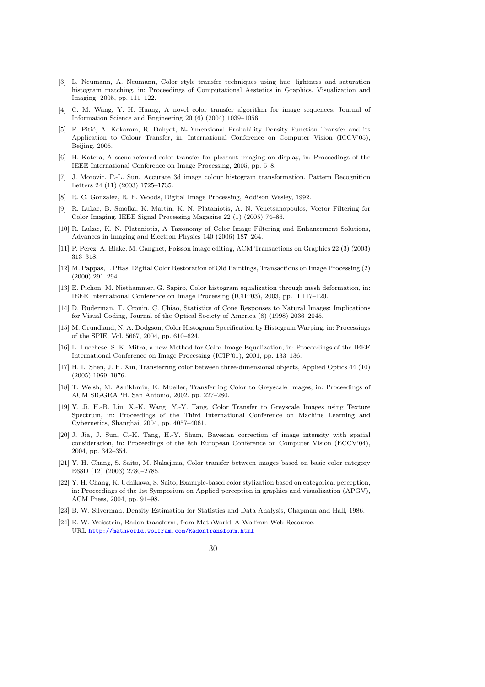- [3] L. Neumann, A. Neumann, Color style transfer techniques using hue, lightness and saturation histogram matching, in: Proceedings of Computational Aestetics in Graphics, Visualization and Imaging, 2005, pp. 111–122.
- [4] C. M. Wang, Y. H. Huang, A novel color transfer algorithm for image sequences, Journal of Information Science and Engineering 20 (6) (2004) 1039–1056.
- [5] F. Pitié, A. Kokaram, R. Dahyot, N-Dimensional Probability Density Function Transfer and its Application to Colour Transfer, in: International Conference on Computer Vision (ICCV'05), Beijing, 2005.
- [6] H. Kotera, A scene-referred color transfer for pleasant imaging on display, in: Proceedings of the IEEE International Conference on Image Processing, 2005, pp. 5–8.
- [7] J. Morovic, P.-L. Sun, Accurate 3d image colour histogram transformation, Pattern Recognition Letters 24 (11) (2003) 1725–1735.
- [8] R. C. Gonzalez, R. E. Woods, Digital Image Processing, Addison Wesley, 1992.
- [9] R. Lukac, B. Smolka, K. Martin, K. N. Plataniotis, A. N. Venetsanopoulos, Vector Filtering for Color Imaging, IEEE Signal Processing Magazine 22 (1) (2005) 74–86.
- [10] R. Lukac, K. N. Plataniotis, A Taxonomy of Color Image Filtering and Enhancement Solutions, Advances in Imaging and Electron Physics 140 (2006) 187–264.
- [11] P. Pérez, A. Blake, M. Gangnet, Poisson image editing, ACM Transactions on Graphics 22 (3) (2003) 313–318.
- [12] M. Pappas, I. Pitas, Digital Color Restoration of Old Paintings, Transactions on Image Processing (2) (2000) 291–294.
- [13] E. Pichon, M. Niethammer, G. Sapiro, Color histogram equalization through mesh deformation, in: IEEE International Conference on Image Processing (ICIP'03), 2003, pp. II 117–120.
- [14] D. Ruderman, T. Cronin, C. Chiao, Statistics of Cone Responses to Natural Images: Implications for Visual Coding, Journal of the Optical Society of America (8) (1998) 2036–2045.
- [15] M. Grundland, N. A. Dodgson, Color Histogram Specification by Histogram Warping, in: Processings of the SPIE, Vol. 5667, 2004, pp. 610–624.
- [16] L. Lucchese, S. K. Mitra, a new Method for Color Image Equalization, in: Proceedings of the IEEE International Conference on Image Processing (ICIP'01), 2001, pp. 133–136.
- [17] H. L. Shen, J. H. Xin, Transferring color between three-dimensional objects, Applied Optics 44 (10) (2005) 1969–1976.
- [18] T. Welsh, M. Ashikhmin, K. Mueller, Transferring Color to Greyscale Images, in: Proceedings of ACM SIGGRAPH, San Antonio, 2002, pp. 227–280.
- [19] Y. Ji, H.-B. Liu, X.-K. Wang, Y.-Y. Tang, Color Transfer to Greyscale Images using Texture Spectrum, in: Proceedings of the Third International Conference on Machine Learning and Cybernetics, Shanghai, 2004, pp. 4057–4061.
- [20] J. Jia, J. Sun, C.-K. Tang, H.-Y. Shum, Bayesian correction of image intensity with spatial consideration, in: Proceedings of the 8th European Conference on Computer Vision (ECCV'04), 2004, pp. 342–354.
- [21] Y. H. Chang, S. Saito, M. Nakajima, Color transfer between images based on basic color category E68D (12) (2003) 2780–2785.
- [22] Y. H. Chang, K. Uchikawa, S. Saito, Example-based color stylization based on categorical perception, in: Proceedings of the 1st Symposium on Applied perception in graphics and visualization (APGV), ACM Press, 2004, pp. 91–98.
- [23] B. W. Silverman, Density Estimation for Statistics and Data Analysis, Chapman and Hall, 1986.
- [24] E. W. Weisstein, Radon transform, from MathWorld–A Wolfram Web Resource. URL <http://mathworld.wolfram.com/RadonTransform.html>